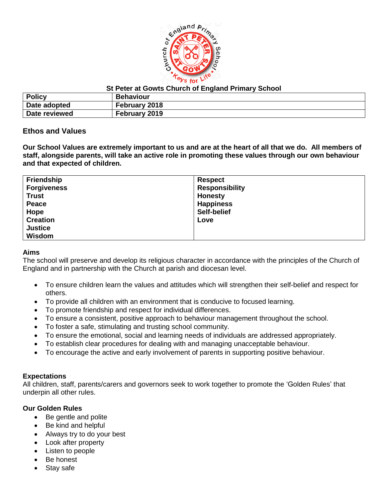

### **St Peter at Gowts Church of England Primary School**

| <b>Policy</b> | <b>Behaviour</b> |
|---------------|------------------|
| Date adopted  | February 2018    |
| Date reviewed | February 2019    |

## **Ethos and Values**

**Our School Values are extremely important to us and are at the heart of all that we do. All members of staff, alongside parents, will take an active role in promoting these values through our own behaviour and that expected of children.**

| Friendship         | <b>Respect</b>        |
|--------------------|-----------------------|
| <b>Forgiveness</b> | <b>Responsibility</b> |
| <b>Trust</b>       | <b>Honesty</b>        |
| Peace              | <b>Happiness</b>      |
| Hope               | Self-belief           |
| <b>Creation</b>    | Love                  |
| <b>Justice</b>     |                       |
| Wisdom             |                       |

#### **Aims**

The school will preserve and develop its religious character in accordance with the principles of the Church of England and in partnership with the Church at parish and diocesan level.

- To ensure children learn the values and attitudes which will strengthen their self-belief and respect for others.
- To provide all children with an environment that is conducive to focused learning.
- To promote friendship and respect for individual differences.
- To ensure a consistent, positive approach to behaviour management throughout the school.
- To foster a safe, stimulating and trusting school community.
- To ensure the emotional, social and learning needs of individuals are addressed appropriately.
- To establish clear procedures for dealing with and managing unacceptable behaviour.
- To encourage the active and early involvement of parents in supporting positive behaviour.

### **Expectations**

All children, staff, parents/carers and governors seek to work together to promote the 'Golden Rules' that underpin all other rules.

### **Our Golden Rules**

- Be gentle and polite
- Be kind and helpful
- Always try to do your best
- Look after property
- Listen to people
- Be honest
- Stay safe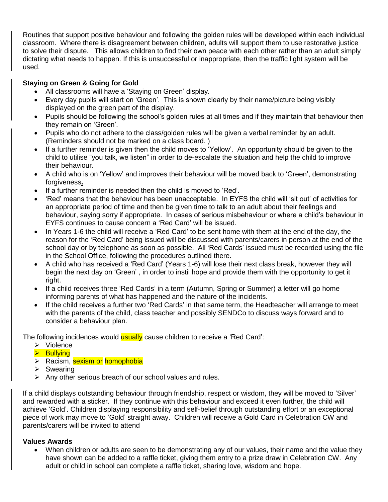Routines that support positive behaviour and following the golden rules will be developed within each individual classroom. Where there is disagreement between children, adults will support them to use restorative justice to solve their dispute. This allows children to find their own peace with each other rather than an adult simply dictating what needs to happen. If this is unsuccessful or inappropriate, then the traffic light system will be used.

## **Staying on Green & Going for Gold**

- All classrooms will have a 'Staying on Green' display.
- Every day pupils will start on 'Green'. This is shown clearly by their name/picture being visibly displayed on the green part of the display.
- Pupils should be following the school's golden rules at all times and if they maintain that behaviour then they remain on 'Green'.
- Pupils who do not adhere to the class/golden rules will be given a verbal reminder by an adult. (Reminders should not be marked on a class board. )
- If a further reminder is given then the child moves to 'Yellow'. An opportunity should be given to the child to utilise "you talk, we listen" in order to de-escalate the situation and help the child to improve their behaviour.
- A child who is on 'Yellow' and improves their behaviour will be moved back to 'Green', demonstrating forgiveness**.**
- If a further reminder is needed then the child is moved to 'Red'.
- 'Red' means that the behaviour has been unacceptable. In EYFS the child will 'sit out' of activities for an appropriate period of time and then be given time to talk to an adult about their feelings and behaviour, saying sorry if appropriate. In cases of serious misbehaviour or where a child's behaviour in EYFS continues to cause concern a 'Red Card' will be issued.
- In Years 1-6 the child will receive a 'Red Card' to be sent home with them at the end of the day, the reason for the 'Red Card' being issued will be discussed with parents/carers in person at the end of the school day or by telephone as soon as possible. All 'Red Cards' issued must be recorded using the file in the School Office, following the procedures outlined there.
- A child who has received a 'Red Card' (Years 1-6) will lose their next class break, however they will begin the next day on 'Green' , in order to instil hope and provide them with the opportunity to get it right.
- If a child receives three 'Red Cards' in a term (Autumn, Spring or Summer) a letter will go home informing parents of what has happened and the nature of the incidents.
- If the child receives a further two 'Red Cards' in that same term, the Headteacher will arrange to meet with the parents of the child, class teacher and possibly SENDCo to discuss ways forward and to consider a behaviour plan.

The following incidences would **usually** cause children to receive a 'Red Card':

- $\triangleright$  Violence
- $\triangleright$  Bullvina
- > Racism, **sexism or homophobia**
- $\triangleright$  Swearing
- $\triangleright$  Any other serious breach of our school values and rules.

If a child displays outstanding behaviour through friendship, respect or wisdom, they will be moved to 'Silver' and rewarded with a sticker. If they continue with this behaviour and exceed it even further, the child will achieve 'Gold'. Children displaying responsibility and self-belief through outstanding effort or an exceptional piece of work may move to 'Gold' straight away. Children will receive a Gold Card in Celebration CW and parents/carers will be invited to attend

## **Values Awards**

 When children or adults are seen to be demonstrating any of our values, their name and the value they have shown can be added to a raffle ticket, giving them entry to a prize draw in Celebration CW. Any adult or child in school can complete a raffle ticket, sharing love, wisdom and hope.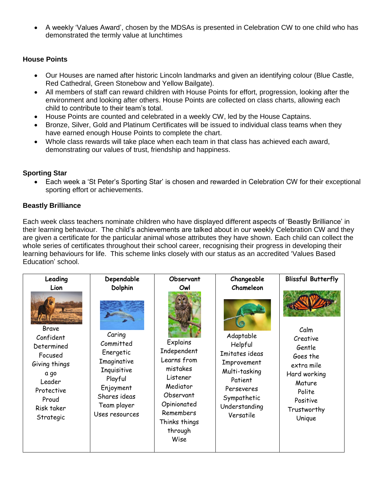A weekly 'Values Award', chosen by the MDSAs is presented in Celebration CW to one child who has demonstrated the termly value at lunchtimes

# **House Points**

- Our Houses are named after historic Lincoln landmarks and given an identifying colour (Blue Castle, Red Cathedral, Green Stonebow and Yellow Bailgate).
- All members of staff can reward children with House Points for effort, progression, looking after the environment and looking after others. House Points are collected on class charts, allowing each child to contribute to their team's total.
- House Points are counted and celebrated in a weekly CW, led by the House Captains.
- Bronze, Silver, Gold and Platinum Certificates will be issued to individual class teams when they have earned enough House Points to complete the chart.
- Whole class rewards will take place when each team in that class has achieved each award, demonstrating our values of trust, friendship and happiness.

# **Sporting Star**

 Each week a 'St Peter's Sporting Star' is chosen and rewarded in Celebration CW for their exceptional sporting effort or achievements.

## **Beastly Brilliance**

Each week class teachers nominate children who have displayed different aspects of 'Beastly Brilliance' in their learning behaviour. The child's achievements are talked about in our weekly Celebration CW and they are given a certificate for the particular animal whose attributes they have shown. Each child can collect the whole series of certificates throughout their school career, recognising their progress in developing their learning behaviours for life. This scheme links closely with our status as an accredited 'Values Based Education' school.

| Leading<br>Lion                                                                                                                  | Dependable                                                                                                                                         | Observant<br>Owl                                                                                                                                        | Changeable<br>Chameleon                                                                                                                      | <b>Blissful Butterfly</b>                                                                                                     |
|----------------------------------------------------------------------------------------------------------------------------------|----------------------------------------------------------------------------------------------------------------------------------------------------|---------------------------------------------------------------------------------------------------------------------------------------------------------|----------------------------------------------------------------------------------------------------------------------------------------------|-------------------------------------------------------------------------------------------------------------------------------|
| Brave<br>Confident<br>Determined<br>Focused<br>Giving things<br>a go<br>Leader<br>Protective<br>Proud<br>Risk taker<br>Strategic | Dolphin<br>Caring<br>Committed<br>Energetic<br>Imaginative<br>Inquisitive<br>Playful<br>Enjoyment<br>Shares ideas<br>Team player<br>Uses resources | Explains<br>Independent<br>Learns from<br>mistakes<br>Listener<br>Mediator<br>Observant<br>Opinionated<br>Remembers<br>Thinks things<br>through<br>Wise | Adaptable<br>Helpful<br>Imitates ideas<br>Improvement<br>Multi-tasking<br>Patient<br>Perseveres<br>Sympathetic<br>Understanding<br>Versatile | Calm<br>Creative<br>Gentle<br>Goes the<br>extra mile<br>Hard working<br>Mature<br>Polite<br>Positive<br>Trustworthy<br>Unique |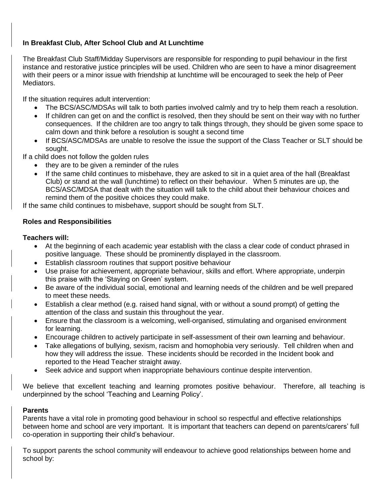## **In Breakfast Club, After School Club and At Lunchtime**

The Breakfast Club Staff/Midday Supervisors are responsible for responding to pupil behaviour in the first instance and restorative justice principles will be used. Children who are seen to have a minor disagreement with their peers or a minor issue with friendship at lunchtime will be encouraged to seek the help of Peer Mediators.

If the situation requires adult intervention:

- The BCS/ASC/MDSAs will talk to both parties involved calmly and try to help them reach a resolution.
- If children can get on and the conflict is resolved, then they should be sent on their way with no further consequences. If the children are too angry to talk things through, they should be given some space to calm down and think before a resolution is sought a second time
- If BCS/ASC/MDSAs are unable to resolve the issue the support of the Class Teacher or SLT should be sought.

If a child does not follow the golden rules

- they are to be given a reminder of the rules
- If the same child continues to misbehave, they are asked to sit in a quiet area of the hall (Breakfast Club) or stand at the wall (lunchtime) to reflect on their behaviour. When 5 minutes are up, the BCS/ASC/MDSA that dealt with the situation will talk to the child about their behaviour choices and remind them of the positive choices they could make.

If the same child continues to misbehave, support should be sought from SLT.

# **Roles and Responsibilities**

## **Teachers will:**

- At the beginning of each academic year establish with the class a clear code of conduct phrased in positive language. These should be prominently displayed in the classroom.
- Establish classroom routines that support positive behaviour
- Use praise for achievement, appropriate behaviour, skills and effort. Where appropriate, underpin this praise with the 'Staying on Green' system.
- Be aware of the individual social, emotional and learning needs of the children and be well prepared to meet these needs.
- Establish a clear method (e.g. raised hand signal, with or without a sound prompt) of getting the attention of the class and sustain this throughout the year.
- Ensure that the classroom is a welcoming, well-organised, stimulating and organised environment for learning.
- Encourage children to actively participate in self-assessment of their own learning and behaviour.
- Take allegations of bullying, sexism, racism and homophobia very seriously. Tell children when and how they will address the issue. These incidents should be recorded in the Incident book and reported to the Head Teacher straight away.
- Seek advice and support when inappropriate behaviours continue despite intervention.

We believe that excellent teaching and learning promotes positive behaviour. Therefore, all teaching is underpinned by the school 'Teaching and Learning Policy'.

## **Parents**

Parents have a vital role in promoting good behaviour in school so respectful and effective relationships between home and school are very important. It is important that teachers can depend on parents/carers' full co-operation in supporting their child's behaviour.

To support parents the school community will endeavour to achieve good relationships between home and school by: